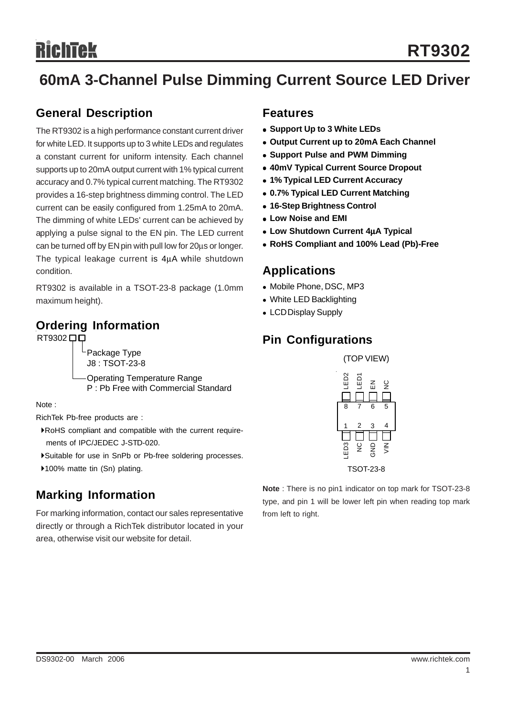## **60mA 3-Channel Pulse Dimming Current Source LED Driver**

#### **General Description**

The RT9302 is a high performance constant current driver for white LED. It supports up to 3 white LEDs and regulates a constant current for uniform intensity. Each channel supports up to 20mA output current with 1% typical current accuracy and 0.7% typical current matching. The RT9302 provides a 16-step brightness dimming control. The LED current can be easily configured from 1.25mA to 20mA. The dimming of white LEDs' current can be achieved by applying a pulse signal to the EN pin. The LED current can be turned off by EN pin with pull low for 20μs or longer. The typical leakage current is 4μA while shutdown condition.

RT9302 is available in a TSOT-23-8 package (1.0mm maximum height).

#### **Ordering Information**

Package Type J8 : TSOT-23-8

Operating Temperature Range P : Pb Free with Commercial Standard

Note :

RichTek Pb-free products are :

- `RoHS compliant and compatible with the current require ments of IPC/JEDEC J-STD-020.
- `Suitable for use in SnPb or Pb-free soldering processes.
- ▶100% matte tin (Sn) plating.

#### **Marking Information**

For marking information, contact our sales representative directly or through a RichTek distributor located in your area, otherwise visit our website for detail.

#### **Features**

- **Support Up to 3 White LEDs**
- **Output Current up to 20mA Each Channel**
- **Support Pulse and PWM Dimming**
- **40mV Typical Current Source Dropout**
- <sup>z</sup> **1% Typical LED Current Accuracy**
- **0.7% Typical LED Current Matching**
- <sup>z</sup> **16-Step Brightness Control**
- <sup>z</sup> **Low Noise and EMI**
- **Low Shutdown Current 4uA Typical**
- <sup>z</sup> **RoHS Compliant and 100% Lead (Pb)-Free**

#### **Applications**

- Mobile Phone, DSC, MP3
- White LED Backlighting
- LCD Display Supply

#### RT9302 口口 **Pin Configurations**



**Note** : There is no pin1 indicator on top mark for TSOT-23-8 type, and pin 1 will be lower left pin when reading top mark from left to right.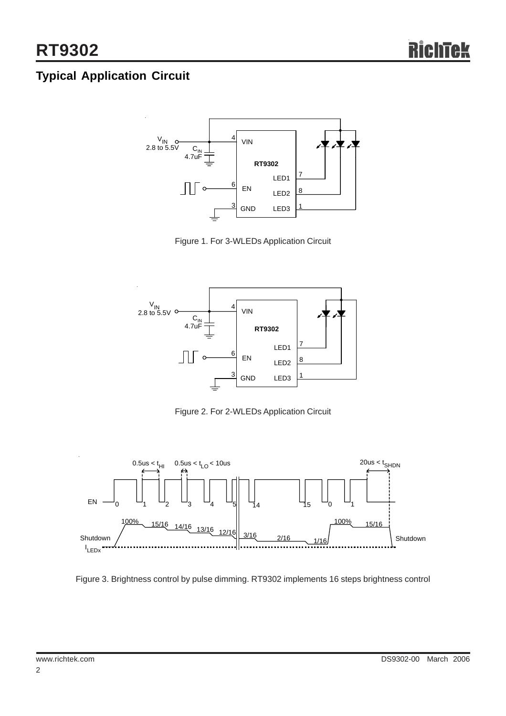## **Typical Application Circuit**



Figure 1. For 3-WLEDs Application Circuit



Figure 2. For 2-WLEDs Application Circuit



Figure 3. Brightness control by pulse dimming. RT9302 implements 16 steps brightness control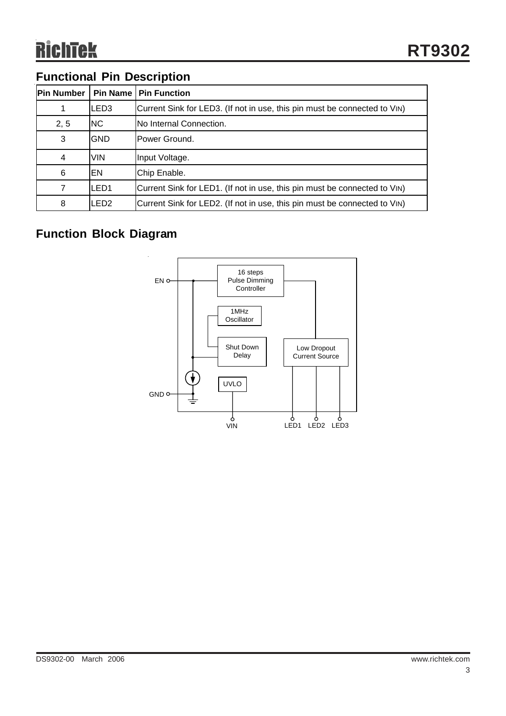## **Functional Pin Description**

| <b>Pin Number</b> | <b>Pin Name</b>  | <b>Pin Function</b>                                                       |
|-------------------|------------------|---------------------------------------------------------------------------|
|                   | LED3             | Current Sink for LED3. (If not in use, this pin must be connected to VIN) |
| 2, 5              | NC.              | No Internal Connection.                                                   |
| 3                 | <b>GND</b>       | Power Ground.                                                             |
| 4                 | <b>VIN</b>       | Input Voltage.                                                            |
| 6                 | EN               | Chip Enable.                                                              |
| 7                 | LED <sub>1</sub> | Current Sink for LED1. (If not in use, this pin must be connected to VIN) |
| 8                 | LED2             | Current Sink for LED2. (If not in use, this pin must be connected to VIN) |

## **Function Block Diagram**

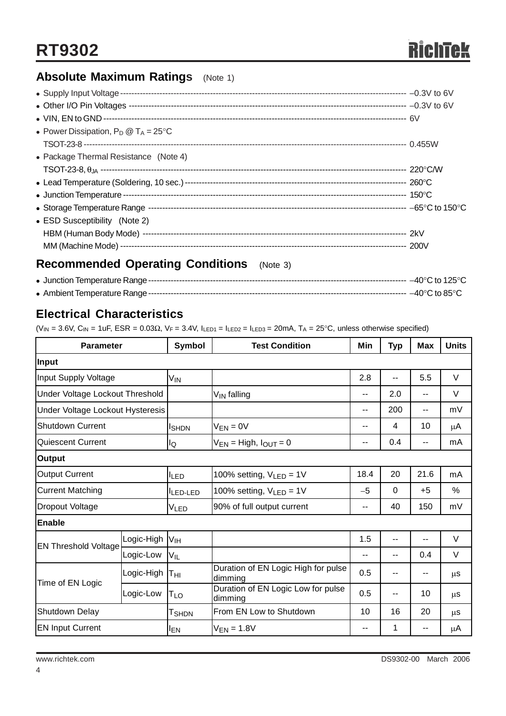## **Absolute Maximum Ratings** (Note 1)

| • Power Dissipation, $P_D @ T_A = 25^{\circ}C$ |  |
|------------------------------------------------|--|
|                                                |  |
| • Package Thermal Resistance (Note 4)          |  |
|                                                |  |
|                                                |  |
|                                                |  |
|                                                |  |
| • ESD Susceptibility (Note 2)                  |  |
|                                                |  |
|                                                |  |
|                                                |  |

#### **Recommended Operating Conditions** (Note 3)

#### **Electrical Characteristics**

 $(V_{IN} = 3.6V, C_{IN} = 1$ uF, ESR = 0.03Ω, VF = 3.4V, ILED1 = ILED2 = ILED3 = 20mA, T<sub>A</sub> = 25°C, unless otherwise specified)

| <b>Parameter</b>                 |                   | Symbol          | <b>Test Condition</b>                          | Min   | <b>Typ</b> | <b>Max</b> | <b>Units</b> |
|----------------------------------|-------------------|-----------------|------------------------------------------------|-------|------------|------------|--------------|
| Input                            |                   |                 |                                                |       |            |            |              |
| <b>Input Supply Voltage</b>      |                   | V <sub>IN</sub> |                                                | 2.8   | --         | 5.5        | V            |
| Under Voltage Lockout Threshold  |                   |                 | V <sub>IN</sub> falling                        | $-$   | 2.0        | $-$        | V            |
| Under Voltage Lockout Hysteresis |                   |                 |                                                | --    | 200        | $-$        | mV           |
| Shutdown Current                 |                   | <b>I</b> SHDN   | $V_{EN} = 0V$                                  | --    | 4          | 10         | μA           |
| Quiescent Current                |                   | lQ              | $V_{EN}$ = High, $I_{OUT}$ = 0                 | --    | 0.4        |            | mA           |
| <b>Output</b>                    |                   |                 |                                                |       |            |            |              |
| <b>Output Current</b>            |                   | lled            | 100% setting, $V_{LED} = 1V$                   | 18.4  | 20         | 21.6       | mA           |
| <b>Current Matching</b>          |                   | LED-LED         | 100% setting, $V_{LED} = 1V$                   | $-5$  | $\Omega$   | $+5$       | %            |
| Dropout Voltage                  |                   | VLED            | 90% of full output current                     | $- -$ | 40         | 150        | mV           |
| <b>Enable</b>                    |                   |                 |                                                |       |            |            |              |
| <b>EN Threshold Voltage</b>      | Logic-High        | V <sub>IH</sub> |                                                | 1.5   | --         | $-$        | V            |
|                                  | Logic-Low         | $V_{IL}$        |                                                | --    | --         | 0.4        | $\vee$       |
| Time of EN Logic                 | Logic-High        | Тні             | Duration of EN Logic High for pulse<br>dimming | 0.5   | --         |            | μS           |
|                                  | Logic-Low         | TLO             | Duration of EN Logic Low for pulse<br>dimming  | 0.5   | $-$        | 10         | μS           |
| Shutdown Delay                   | T <sub>SHDN</sub> |                 | From EN Low to Shutdown                        | 10    | 16         | 20         | μS           |
| <b>EN Input Current</b>          |                   | IEN             | $V_{EN} = 1.8V$                                | $-$   | 1          | $- -$      | μA           |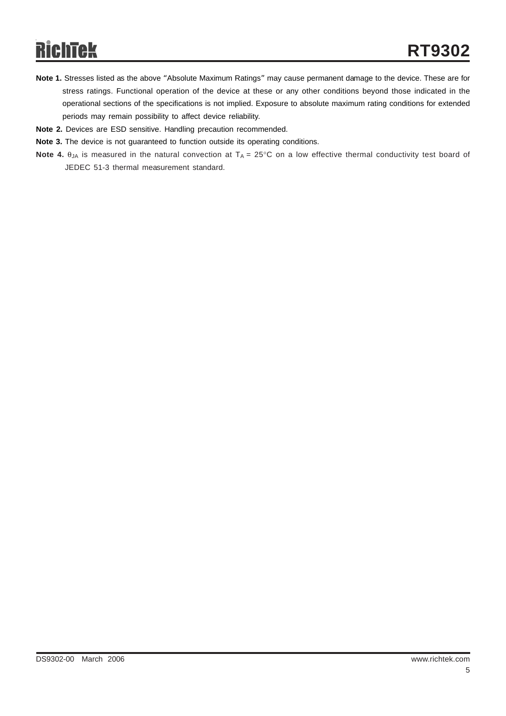- **Note 1.** Stresses listed as the above "Absolute Maximum Ratings" may cause permanent damage to the device. These are for stress ratings. Functional operation of the device at these or any other conditions beyond those indicated in the operational sections of the specifications is not implied. Exposure to absolute maximum rating conditions for extended periods may remain possibility to affect device reliability.
- **Note 2.** Devices are ESD sensitive. Handling precaution recommended.
- **Note 3.** The device is not guaranteed to function outside its operating conditions.
- **Note 4.** θ<sub>JA</sub> is measured in the natural convection at T<sub>A</sub> = 25°C on a low effective thermal conductivity test board of JEDEC 51-3 thermal measurement standard.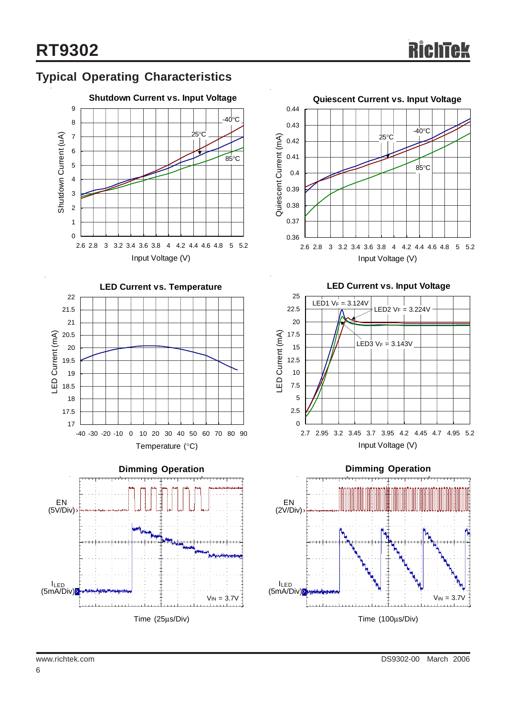## **Typical Operating Characteristics**









**LED Current vs. Input Voltage**



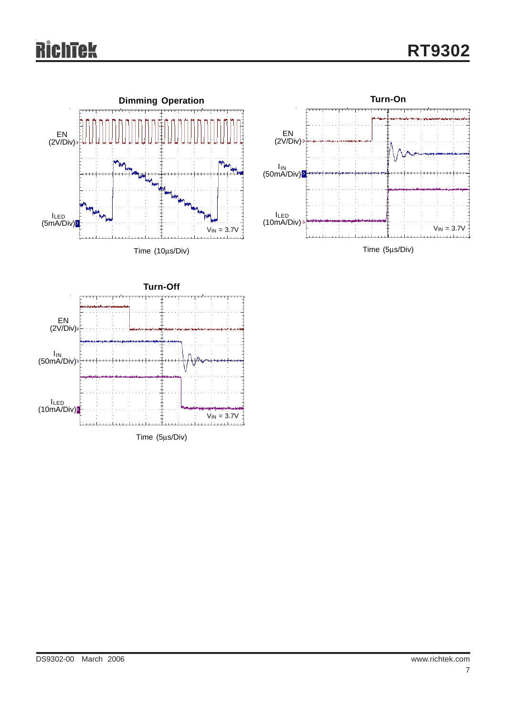# **RichTek**





Time (5μs/Div)

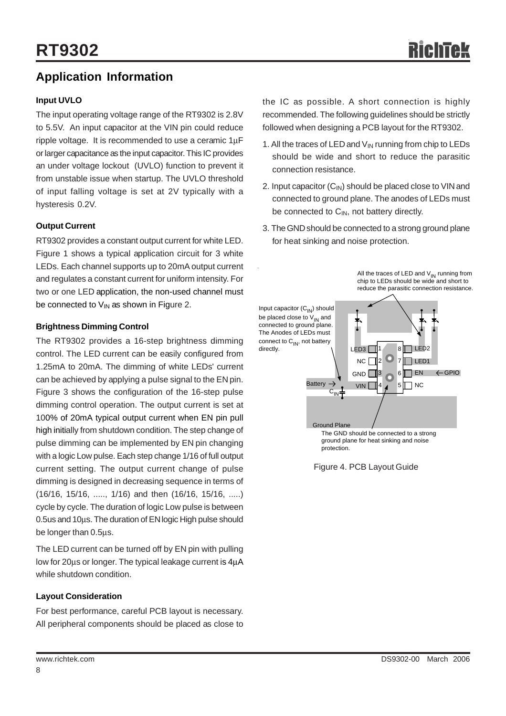#### **Application Information**

#### **Input UVLO**

The input operating voltage range of the RT9302 is 2.8V to 5.5V. An input capacitor at the VIN pin could reduce ripple voltage. It is recommended to use a ceramic 1μF or larger capacitance as the input capacitor. This IC provides an under voltage lockout (UVLO) function to prevent it from unstable issue when startup. The UVLO threshold of input falling voltage is set at 2V typically with a hysteresis 0.2V.

#### **Output Current**

RT9302 provides a constant output current for white LED. Figure 1 shows a typical application circuit for 3 white LEDs. Each channel supports up to 20mA output current and regulates a constant current for uniform intensity. For two or one LED application, the non-used channel must be connected to  $V_{IN}$  as shown in Figure 2.

#### **Brightness Dimming Control**

The RT9302 provides a 16-step brightness dimming control. The LED current can be easily configured from 1.25mA to 20mA. The dimming of white LEDs' current can be achieved by applying a pulse signal to the EN pin. Figure 3 shows the configuration of the 16-step pulse dimming control operation. The output current is set at 100% of 20mA typical output current when EN pin pull high initially from shutdown condition. The step change of pulse dimming can be implemented by EN pin changing with a logic Low pulse. Each step change 1/16 of full output current setting. The output current change of pulse dimming is designed in decreasing sequence in terms of (16/16, 15/16, ....., 1/16) and then (16/16, 15/16, .....) cycle by cycle. The duration of logic Low pulse is between 0.5us and 10μs. The duration of EN logic High pulse should be longer than 0.5μs.

The LED current can be turned off by EN pin with pulling low for 20μs or longer. The typical leakage current is 4μA while shutdown condition.

#### **Layout Consideration**

For best performance, careful PCB layout is necessary. All peripheral components should be placed as close to the IC as possible. A short connection is highly recommended. The following guidelines should be strictly followed when designing a PCB layout for the RT9302.

- 1. All the traces of LED and  $V_{\text{IN}}$  running from chip to LEDs should be wide and short to reduce the parasitic connection resistance.
- 2. Input capacitor  $(C_{1N})$  should be placed close to VIN and connected to ground plane. The anodes of LEDs must be connected to  $C_{IN}$ , not battery directly.
- 3. The GND should be connected to a strong ground plane for heat sinking and noise protection.